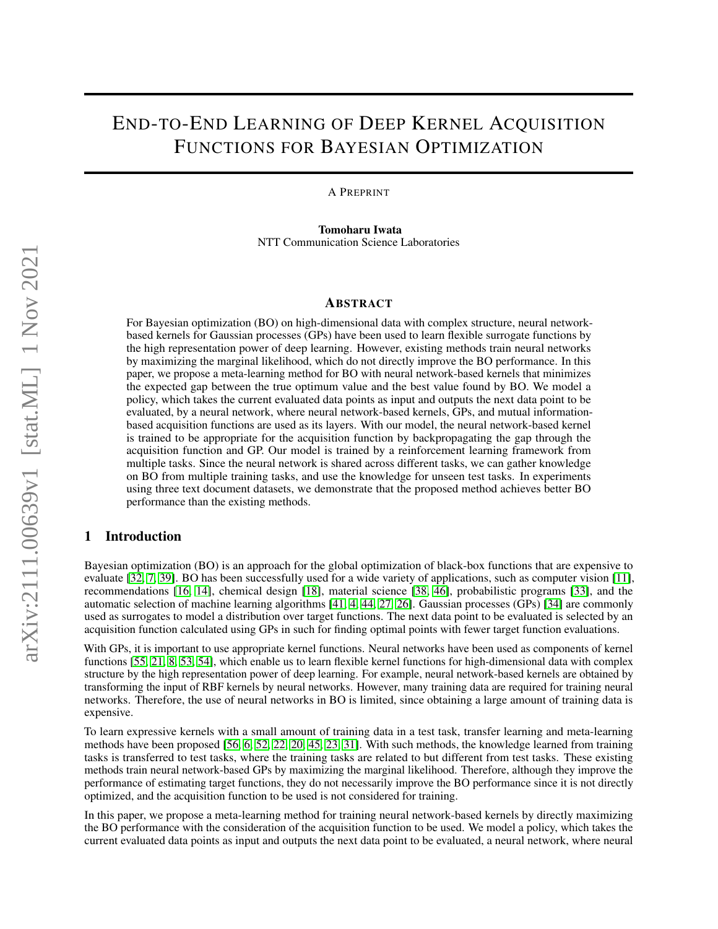# END-TO-END LEARNING OF DEEP KERNEL ACQUISITION FUNCTIONS FOR BAYESIAN OPTIMIZATION

A PREPRINT

Tomoharu Iwata NTT Communication Science Laboratories

## ABSTRACT

For Bayesian optimization (BO) on high-dimensional data with complex structure, neural networkbased kernels for Gaussian processes (GPs) have been used to learn flexible surrogate functions by the high representation power of deep learning. However, existing methods train neural networks by maximizing the marginal likelihood, which do not directly improve the BO performance. In this paper, we propose a meta-learning method for BO with neural network-based kernels that minimizes the expected gap between the true optimum value and the best value found by BO. We model a policy, which takes the current evaluated data points as input and outputs the next data point to be evaluated, by a neural network, where neural network-based kernels, GPs, and mutual informationbased acquisition functions are used as its layers. With our model, the neural network-based kernel is trained to be appropriate for the acquisition function by backpropagating the gap through the acquisition function and GP. Our model is trained by a reinforcement learning framework from multiple tasks. Since the neural network is shared across different tasks, we can gather knowledge on BO from multiple training tasks, and use the knowledge for unseen test tasks. In experiments using three text document datasets, we demonstrate that the proposed method achieves better BO performance than the existing methods.

# 1 Introduction

Bayesian optimization (BO) is an approach for the global optimization of black-box functions that are expensive to evaluate [\[32,](#page-9-0) [7,](#page-8-0) [39\]](#page-9-1). BO has been successfully used for a wide variety of applications, such as computer vision [\[11\]](#page-8-1), recommendations [\[16,](#page-8-2) [14\]](#page-8-3), chemical design [\[18\]](#page-8-4), material science [\[38,](#page-9-2) [46\]](#page-10-0), probabilistic programs [\[33\]](#page-9-3), and the automatic selection of machine learning algorithms [\[41,](#page-9-4) [4,](#page-8-5) [44,](#page-10-1) [27,](#page-9-5) [26\]](#page-9-6). Gaussian processes (GPs) [\[34\]](#page-9-7) are commonly used as surrogates to model a distribution over target functions. The next data point to be evaluated is selected by an acquisition function calculated using GPs in such for finding optimal points with fewer target function evaluations.

With GPs, it is important to use appropriate kernel functions. Neural networks have been used as components of kernel functions [\[55,](#page-10-2) [21,](#page-9-8) [8,](#page-8-6) [53,](#page-10-3) [54\]](#page-10-4), which enable us to learn flexible kernel functions for high-dimensional data with complex structure by the high representation power of deep learning. For example, neural network-based kernels are obtained by transforming the input of RBF kernels by neural networks. However, many training data are required for training neural networks. Therefore, the use of neural networks in BO is limited, since obtaining a large amount of training data is expensive.

To learn expressive kernels with a small amount of training data in a test task, transfer learning and meta-learning methods have been proposed [\[56,](#page-10-5) [6,](#page-8-7) [52,](#page-10-6) [22,](#page-9-9) [20,](#page-9-10) [45,](#page-10-7) [23,](#page-9-11) [31\]](#page-9-12). With such methods, the knowledge learned from training tasks is transferred to test tasks, where the training tasks are related to but different from test tasks. These existing methods train neural network-based GPs by maximizing the marginal likelihood. Therefore, although they improve the performance of estimating target functions, they do not necessarily improve the BO performance since it is not directly optimized, and the acquisition function to be used is not considered for training.

In this paper, we propose a meta-learning method for training neural network-based kernels by directly maximizing the BO performance with the consideration of the acquisition function to be used. We model a policy, which takes the current evaluated data points as input and outputs the next data point to be evaluated, a neural network, where neural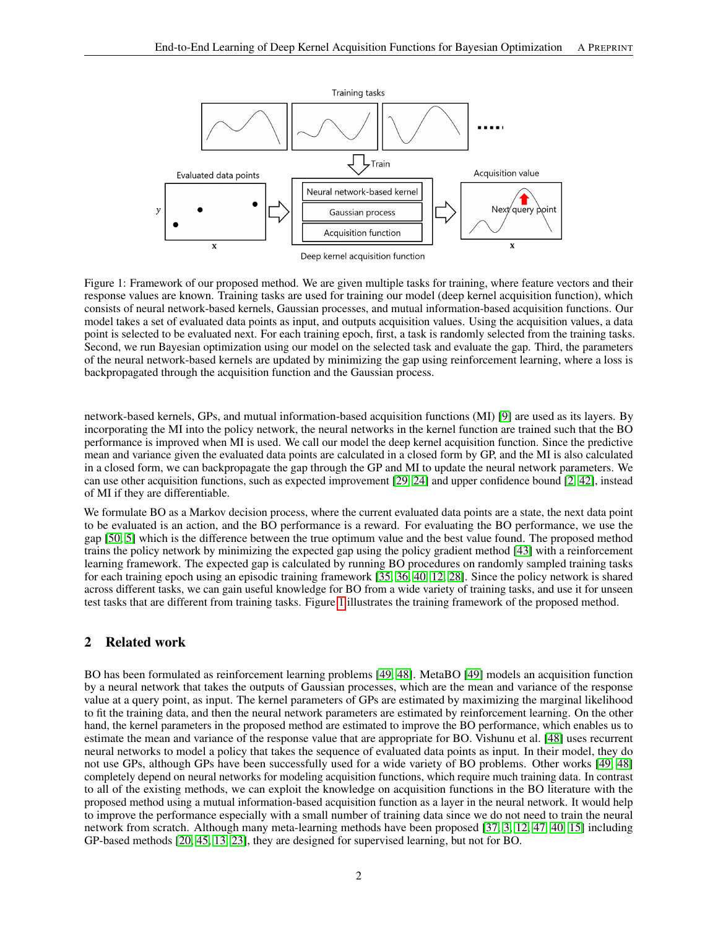<span id="page-1-0"></span>

Figure 1: Framework of our proposed method. We are given multiple tasks for training, where feature vectors and their response values are known. Training tasks are used for training our model (deep kernel acquisition function), which consists of neural network-based kernels, Gaussian processes, and mutual information-based acquisition functions. Our model takes a set of evaluated data points as input, and outputs acquisition values. Using the acquisition values, a data point is selected to be evaluated next. For each training epoch, first, a task is randomly selected from the training tasks. Second, we run Bayesian optimization using our model on the selected task and evaluate the gap. Third, the parameters of the neural network-based kernels are updated by minimizing the gap using reinforcement learning, where a loss is backpropagated through the acquisition function and the Gaussian process.

network-based kernels, GPs, and mutual information-based acquisition functions (MI) [\[9\]](#page-8-8) are used as its layers. By incorporating the MI into the policy network, the neural networks in the kernel function are trained such that the BO performance is improved when MI is used. We call our model the deep kernel acquisition function. Since the predictive mean and variance given the evaluated data points are calculated in a closed form by GP, and the MI is also calculated in a closed form, we can backpropagate the gap through the GP and MI to update the neural network parameters. We can use other acquisition functions, such as expected improvement [\[29,](#page-9-13) [24\]](#page-9-14) and upper confidence bound [\[2,](#page-8-9) [42\]](#page-9-15), instead of MI if they are differentiable.

We formulate BO as a Markov decision process, where the current evaluated data points are a state, the next data point to be evaluated is an action, and the BO performance is a reward. For evaluating the BO performance, we use the gap [\[50,](#page-10-8) [5\]](#page-8-10) which is the difference between the true optimum value and the best value found. The proposed method trains the policy network by minimizing the expected gap using the policy gradient method [\[43\]](#page-9-16) with a reinforcement learning framework. The expected gap is calculated by running BO procedures on randomly sampled training tasks for each training epoch using an episodic training framework [\[35,](#page-9-17) [36,](#page-9-18) [40,](#page-9-19) [12,](#page-8-11) [28\]](#page-9-20). Since the policy network is shared across different tasks, we can gain useful knowledge for BO from a wide variety of training tasks, and use it for unseen test tasks that are different from training tasks. Figure [1](#page-1-0) illustrates the training framework of the proposed method.

# 2 Related work

BO has been formulated as reinforcement learning problems [\[49,](#page-10-9) [48\]](#page-10-10). MetaBO [\[49\]](#page-10-9) models an acquisition function by a neural network that takes the outputs of Gaussian processes, which are the mean and variance of the response value at a query point, as input. The kernel parameters of GPs are estimated by maximizing the marginal likelihood to fit the training data, and then the neural network parameters are estimated by reinforcement learning. On the other hand, the kernel parameters in the proposed method are estimated to improve the BO performance, which enables us to estimate the mean and variance of the response value that are appropriate for BO. Vishunu et al. [\[48\]](#page-10-10) uses recurrent neural networks to model a policy that takes the sequence of evaluated data points as input. In their model, they do not use GPs, although GPs have been successfully used for a wide variety of BO problems. Other works [\[49,](#page-10-9) [48\]](#page-10-10) completely depend on neural networks for modeling acquisition functions, which require much training data. In contrast to all of the existing methods, we can exploit the knowledge on acquisition functions in the BO literature with the proposed method using a mutual information-based acquisition function as a layer in the neural network. It would help to improve the performance especially with a small number of training data since we do not need to train the neural network from scratch. Although many meta-learning methods have been proposed [\[37,](#page-9-21) [3,](#page-8-12) [12,](#page-8-11) [47,](#page-10-11) [40,](#page-9-19) [15\]](#page-8-13) including GP-based methods [\[20,](#page-9-10) [45,](#page-10-7) [13,](#page-8-14) [23\]](#page-9-11), they are designed for supervised learning, but not for BO.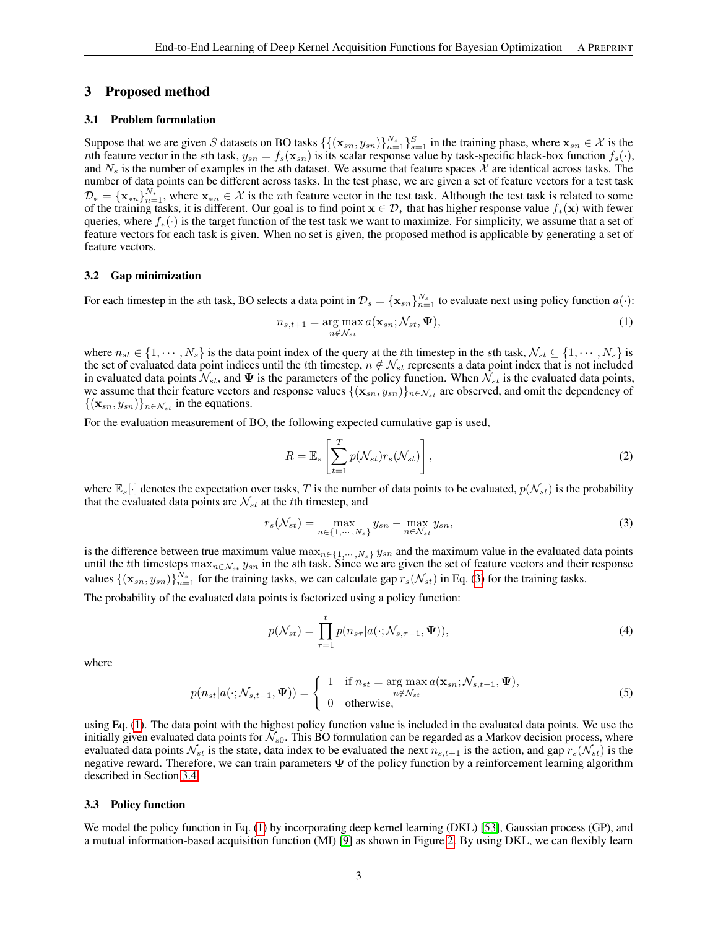#### 3 Proposed method

#### 3.1 Problem formulation

Suppose that we are given S datasets on BO tasks  $\{\{(\mathbf{x}_{sn}, y_{sn})\}_{n=1}^{N_s}\}_{s=1}^S$  in the training phase, where  $\mathbf{x}_{sn} \in \mathcal{X}$  is the nth feature vector in the sth task,  $y_{sn} = f_s(\mathbf{x}_{sn})$  is its scalar response value by task-specific black-box function  $f_s(\cdot)$ , and  $N_s$  is the number of examples in the sth dataset. We assume that feature spaces  $\chi$  are identical across tasks. The number of data points can be different across tasks. In the test phase, we are given a set of feature vectors for a test task  $\mathcal{D}_* = {\{\mathbf{x}_{*n}\}}_{n=1}^{N_*}$ , where  $\mathbf{x}_{*n} \in \mathcal{X}$  is the *n*th feature vector in the test task. Although the test task is related to some of the training tasks, it is different. Our goal is to find point  $x \in \mathcal{D}_*$  that has higher response value  $f_*(x)$  with fewer queries, where  $f_*(\cdot)$  is the target function of the test task we want to maximize. For simplicity, we assume that a set of feature vectors for each task is given. When no set is given, the proposed method is applicable by generating a set of feature vectors.

#### 3.2 Gap minimization

For each timestep in the sth task, BO selects a data point in  $\mathcal{D}_s = {\{\mathbf{x}_{sn}\}}_{n=1}^{N_s}$  to evaluate next using policy function  $a(\cdot)$ :

<span id="page-2-1"></span>
$$
n_{s,t+1} = \underset{n \notin \mathcal{N}_{st}}{\arg \max} a(\mathbf{x}_{sn}; \mathcal{N}_{st}, \Psi), \tag{1}
$$

where  $n_{st} \in \{1, \dots, N_s\}$  is the data point index of the query at the tth timestep in the sth task,  $\mathcal{N}_{st} \subseteq \{1, \dots, N_s\}$  is the set of evaluated data point indices until the tth timestep,  $n \notin \mathcal{N}_{st}$  represents a data point index that is not included in evaluated data points  $\mathcal{N}_{st}$ , and  $\Psi$  is the parameters of the policy function. When  $\mathcal{N}_{st}$  is the evaluated data points, we assume that their feature vectors and response values  $\{(\mathbf{x}_{sn}, y_{sn})\}_{n \in \mathcal{N}_{st}}$  are observed, and omit the dependency of  ${({\mathbf{x}}_{sn}, y_{sn})}_{{n \in \mathcal{N}_{st}}}$  in the equations.

For the evaluation measurement of BO, the following expected cumulative gap is used,

<span id="page-2-0"></span>
$$
R = \mathbb{E}_s \left[ \sum_{t=1}^T p(\mathcal{N}_{st}) r_s(\mathcal{N}_{st}) \right],
$$
\n(2)

where  $\mathbb{E}_s[\cdot]$  denotes the expectation over tasks, T is the number of data points to be evaluated,  $p(\mathcal{N}_{st})$  is the probability that the evaluated data points are  $\mathcal{N}_{st}$  at the tth timestep, and

$$
r_s(\mathcal{N}_{st}) = \max_{n \in \{1, \cdots, N_s\}} y_{sn} - \max_{n \in \mathcal{N}_{st}} y_{sn},
$$
\n(3)

is the difference between true maximum value  $\max_{n\in\{1,\cdots,N_s\}} y_{sn}$  and the maximum value in the evaluated data points until the tth timesteps  $\max_{n \in \mathcal{N}_{st}} y_{sn}$  in the sth task. Since we are given the set of feature vectors and their response values  $\{(\mathbf{x}_{sn}, y_{sn})\}_{n=1}^{N_s}$  for the training tasks, we can calculate gap  $r_s(\mathcal{N}_{st})$  in Eq. [\(3\)](#page-2-0) for the training tasks.

The probability of the evaluated data points is factorized using a policy function:

<span id="page-2-2"></span>
$$
p(\mathcal{N}_{st}) = \prod_{\tau=1}^{t} p(n_{s\tau}|a(\cdot;\mathcal{N}_{s,\tau-1},\Psi)),
$$
\n(4)

where

$$
p(n_{st}|a(\cdot; \mathcal{N}_{s,t-1}, \Psi)) = \begin{cases} 1 & \text{if } n_{st} = \arg \max_{n \notin \mathcal{N}_{st}} a(\mathbf{x}_{sn}; \mathcal{N}_{s,t-1}, \Psi), \\ 0 & \text{otherwise}, \end{cases}
$$
(5)

using Eq. [\(1\)](#page-2-1). The data point with the highest policy function value is included in the evaluated data points. We use the initially given evaluated data points for  $\bar{\mathcal{N}}_{s0}$ . This BO formulation can be regarded as a Markov decision process, where evaluated data points  $\mathcal{N}_{st}$  is the state, data index to be evaluated the next  $n_{s,t+1}$  is the action, and gap  $r_s(\mathcal{N}_{st})$  is the negative reward. Therefore, we can train parameters  $\Psi$  of the policy function by a reinforcement learning algorithm described in Section [3.4.](#page-3-0)

#### 3.3 Policy function

We model the policy function in Eq. [\(1\)](#page-2-1) by incorporating deep kernel learning (DKL) [\[53\]](#page-10-3), Gaussian process (GP), and a mutual information-based acquisition function (MI) [\[9\]](#page-8-8) as shown in Figure [2.](#page-3-1) By using DKL, we can flexibly learn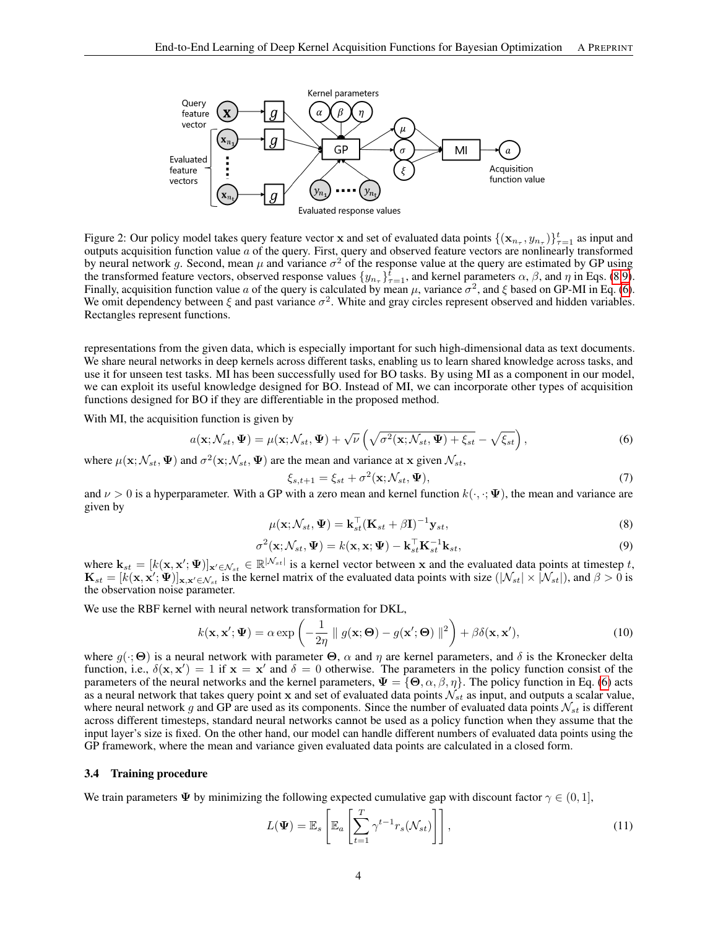

Figure 2: Our policy model takes query feature vector x and set of evaluated data points  $\{(\mathbf{x}_{n_{\tau}}, y_{n_{\tau}})\}_{\tau=1}^t$  as input and outputs acquisition function value  $a$  of the query. First, query and observed feature vectors are nonlinearly transformed by neural network g. Second, mean  $\mu$  and variance  $\sigma^2$  of the response value at the query are estimated by GP using the transformed feature vectors, observed response values  $\{y_{n_r}\}_{r=1}^{\tilde{t}}$ , and kernel parameters  $\alpha$ ,  $\beta$ , and  $\eta$  in Eqs. [\(8](#page-3-2)[,9\)](#page-3-3). Finally, acquisition function value a of the query is calculated by mean  $\mu$ , variance  $\sigma^2$ , and  $\xi$  based on GP-MI in Eq. [\(6\)](#page-3-4). We omit dependency between  $\xi$  and past variance  $\sigma^2$ . White and gray circles represent observed and hidden variables. Rectangles represent functions.

representations from the given data, which is especially important for such high-dimensional data as text documents. We share neural networks in deep kernels across different tasks, enabling us to learn shared knowledge across tasks, and use it for unseen test tasks. MI has been successfully used for BO tasks. By using MI as a component in our model, we can exploit its useful knowledge designed for BO. Instead of MI, we can incorporate other types of acquisition functions designed for BO if they are differentiable in the proposed method.

With MI, the acquisition function is given by

$$
a(\mathbf{x}; \mathcal{N}_{st}, \Psi) = \mu(\mathbf{x}; \mathcal{N}_{st}, \Psi) + \sqrt{\nu} \left( \sqrt{\sigma^2(\mathbf{x}; \mathcal{N}_{st}, \Psi) + \xi_{st}} - \sqrt{\xi_{st}} \right),
$$
(6)

where  $\mu(\mathbf{x}; \mathcal{N}_{st}, \Psi)$  and  $\sigma^2(\mathbf{x}; \mathcal{N}_{st}, \Psi)$  are the mean and variance at x given  $\mathcal{N}_{st}$ ,

<span id="page-3-4"></span><span id="page-3-3"></span><span id="page-3-2"></span><span id="page-3-1"></span>
$$
\xi_{s,t+1} = \xi_{st} + \sigma^2(\mathbf{x}; \mathcal{N}_{st}, \Psi), \tag{7}
$$

and  $\nu > 0$  is a hyperparameter. With a GP with a zero mean and kernel function  $k(\cdot, \cdot; \Psi)$ , the mean and variance are given by

$$
\mu(\mathbf{x}; \mathcal{N}_{st}, \Psi) = \mathbf{k}_{st}^{\top} (\mathbf{K}_{st} + \beta \mathbf{I})^{-1} \mathbf{y}_{st},
$$
\n(8)

$$
\sigma^2(\mathbf{x}; \mathcal{N}_{st}, \Psi) = k(\mathbf{x}, \mathbf{x}; \Psi) - \mathbf{k}_{st}^\top \mathbf{K}_{st}^{-1} \mathbf{k}_{st},
$$
\n(9)

where  $\mathbf{k}_{st} = [k(\mathbf{x}, \mathbf{x}'; \Psi)]_{\mathbf{x}' \in \mathcal{N}_{st}} \in \mathbb{R}^{|\mathcal{N}_{st}|}$  is a kernel vector between x and the evaluated data points at timestep t,  $\mathbf{K}_{st} = [k(\mathbf{x}, \mathbf{x}'; \Psi)]_{\mathbf{x}, \mathbf{x}' \in \mathcal{N}_{st}}$  is the kernel matrix of the evaluated data points with size  $(|\mathcal{N}_{st}| \times |\mathcal{N}_{st}|)$ , and  $\beta > 0$  is the observation noise parameter.

We use the RBF kernel with neural network transformation for DKL,

$$
k(\mathbf{x}, \mathbf{x}'; \Psi) = \alpha \exp\left(-\frac{1}{2\eta} \parallel g(\mathbf{x}; \Theta) - g(\mathbf{x}'; \Theta) \parallel^2\right) + \beta \delta(\mathbf{x}, \mathbf{x}'),\tag{10}
$$

where  $g(\cdot; \Theta)$  is a neural network with parameter  $\Theta$ ,  $\alpha$  and  $\eta$  are kernel parameters, and  $\delta$  is the Kronecker delta function, i.e.,  $\delta(\mathbf{x}, \mathbf{x}') = 1$  if  $\mathbf{x} = \mathbf{x}'$  and  $\delta = 0$  otherwise. The parameters in the policy function consist of the parameters of the neural networks and the kernel parameters,  $\Psi = {\Theta, \alpha, \beta, \eta}$ . The policy function in Eq. [\(6\)](#page-3-4) acts as a neural network that takes query point x and set of evaluated data points  $\mathcal{N}_{st}$  as input, and outputs a scalar value, where neural network g and GP are used as its components. Since the number of evaluated data points  $\mathcal{N}_{st}$  is different across different timesteps, standard neural networks cannot be used as a policy function when they assume that the input layer's size is fixed. On the other hand, our model can handle different numbers of evaluated data points using the GP framework, where the mean and variance given evaluated data points are calculated in a closed form.

#### <span id="page-3-0"></span>3.4 Training procedure

We train parameters  $\Psi$  by minimizing the following expected cumulative gap with discount factor  $\gamma \in (0, 1]$ ,

$$
L(\Psi) = \mathbb{E}_s \left[ \mathbb{E}_a \left[ \sum_{t=1}^T \gamma^{t-1} r_s(\mathcal{N}_{st}) \right] \right],
$$
\n(11)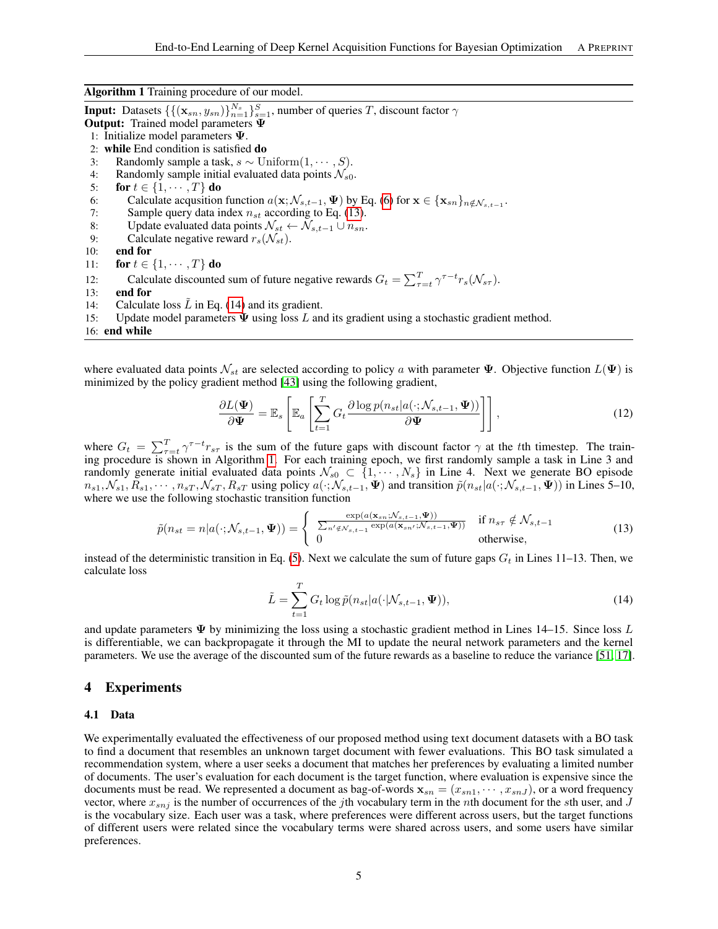Algorithm 1 Training procedure of our model.

Output: Trained model parameters Ψ 1: Initialize model parameters Ψ. 2: while End condition is satisfied do 3: Randomly sample a task,  $s \sim \text{Uniform}(1, \dots, S)$ . 4: Randomly sample initial evaluated data points  $\mathcal{N}_{s0}$ .<br>5: **for**  $t \in \{1, \dots, T\}$  **do** for  $t \in \{1, \cdots, T\}$  do 6: Calculate acqusition function  $a(\mathbf{x}; \mathcal{N}_{s,t-1}, \Psi)$  by Eq. [\(6\)](#page-3-4) for  $\mathbf{x} \in {\mathbf{x}_{sn}}_{n \notin \mathcal{N}_{s,t-1}}$ . 7: Sample query data index  $n_{st}$  according to Eq. [\(13\)](#page-4-0).<br>8: Update evaluated data points  $\mathcal{N}_{st} \leftarrow \mathcal{N}_{s,t-1} \cup n_{sn}$ . 8: Update evaluated data points  $\mathcal{N}_{st} \leftarrow \mathcal{N}_{s,t-1} \cup n_{sn}$ .<br>9: Calculate negative reward  $r_c(\mathcal{N}_{st})$ . 9: Calculate negative reward  $r_s(\mathcal{N}_{st})$ .<br>10: **end for** end for 11: for  $t \in \{1, \cdots, T\}$  do 12: Calculate discounted sum of future negative rewards  $G_t = \sum_{\tau=t}^T \gamma^{\tau-t} r_s(\mathcal{N}_{s\tau}).$ 13: end for 14: Calculate loss  $\tilde{L}$  in Eq. [\(14\)](#page-4-1) and its gradient.

<span id="page-4-2"></span>**Input:** Datasets  $\{ \{ (\mathbf{x}_{sn}, y_{sn}) \}_{n=1}^{N_s} \}_{s=1}^S$ , number of queries T, discount factor  $\gamma$ 

15: Update model parameters  $\Psi$  using loss L and its gradient using a stochastic gradient method.

16: end while

where evaluated data points  $\mathcal{N}_{st}$  are selected according to policy a with parameter  $\Psi$ . Objective function  $L(\Psi)$  is minimized by the policy gradient method [\[43\]](#page-9-16) using the following gradient,

$$
\frac{\partial L(\mathbf{\Psi})}{\partial \mathbf{\Psi}} = \mathbb{E}_s \left[ \mathbb{E}_a \left[ \sum_{t=1}^T G_t \frac{\partial \log p(n_{st}|a(\cdot; \mathcal{N}_{s,t-1}, \mathbf{\Psi}))}{\partial \mathbf{\Psi}} \right] \right],\tag{12}
$$

where  $G_t = \sum_{\tau=t}^T \gamma^{\tau-t} r_{s\tau}$  is the sum of the future gaps with discount factor  $\gamma$  at the tth timestep. The training procedure is shown in Algorithm [1.](#page-4-2) For each training epoch, we first randomly sample a task in Line 3 and randomly generate initial evaluated data points  $\mathcal{N}_{s0} \subset \{1, \dots, N_s\}$  in Line 4. Next we generate BO episode  $n_{s1}, \mathcal{N}_{s1}, R_{s1}, \cdots, n_{sT}, \mathcal{N}_{sT}, R_{sT}$  using policy  $a(\cdot; \mathcal{N}_{s,t-1}, \Psi)$  and transition  $\tilde{p}(n_{st}|a(\cdot; \mathcal{N}_{s,t-1}, \Psi))$  in Lines 5–10, where we use the following stochastic transition function

$$
\tilde{p}(n_{st}=n|a(\cdot; \mathcal{N}_{s,t-1}, \Psi)) = \begin{cases}\n\frac{\exp(a(\mathbf{x}_{sn}; \mathcal{N}_{s,t-1}, \Psi))}{\sum_{n' \notin \mathcal{N}_{s,t-1}} \exp(a(\mathbf{x}_{sn'}; \mathcal{N}_{s,t-1}, \Psi))} & \text{if } n_{s\tau} \notin \mathcal{N}_{s,t-1} \\
0 & \text{otherwise,} \n\end{cases}
$$
\n(13)

instead of the deterministic transition in Eq. [\(5\)](#page-2-2). Next we calculate the sum of future gaps  $G_t$  in Lines 11–13. Then, we calculate loss

<span id="page-4-1"></span><span id="page-4-0"></span>
$$
\tilde{L} = \sum_{t=1}^{T} G_t \log \tilde{p}(n_{st}|a(\cdot|\mathcal{N}_{s,t-1}, \Psi)),
$$
\n(14)

and update parameters  $\Psi$  by minimizing the loss using a stochastic gradient method in Lines 14–15. Since loss L is differentiable, we can backpropagate it through the MI to update the neural network parameters and the kernel parameters. We use the average of the discounted sum of the future rewards as a baseline to reduce the variance [\[51,](#page-10-12) [17\]](#page-8-15).

## 4 Experiments

#### 4.1 Data

We experimentally evaluated the effectiveness of our proposed method using text document datasets with a BO task to find a document that resembles an unknown target document with fewer evaluations. This BO task simulated a recommendation system, where a user seeks a document that matches her preferences by evaluating a limited number of documents. The user's evaluation for each document is the target function, where evaluation is expensive since the documents must be read. We represented a document as bag-of-words  $\mathbf{x}_{sn} = (x_{sn1}, \dots, x_{snJ})$ , or a word frequency vector, where  $x_{snj}$  is the number of occurrences of the jth vocabulary term in the nth document for the sth user, and  $J$ is the vocabulary size. Each user was a task, where preferences were different across users, but the target functions of different users were related since the vocabulary terms were shared across users, and some users have similar preferences.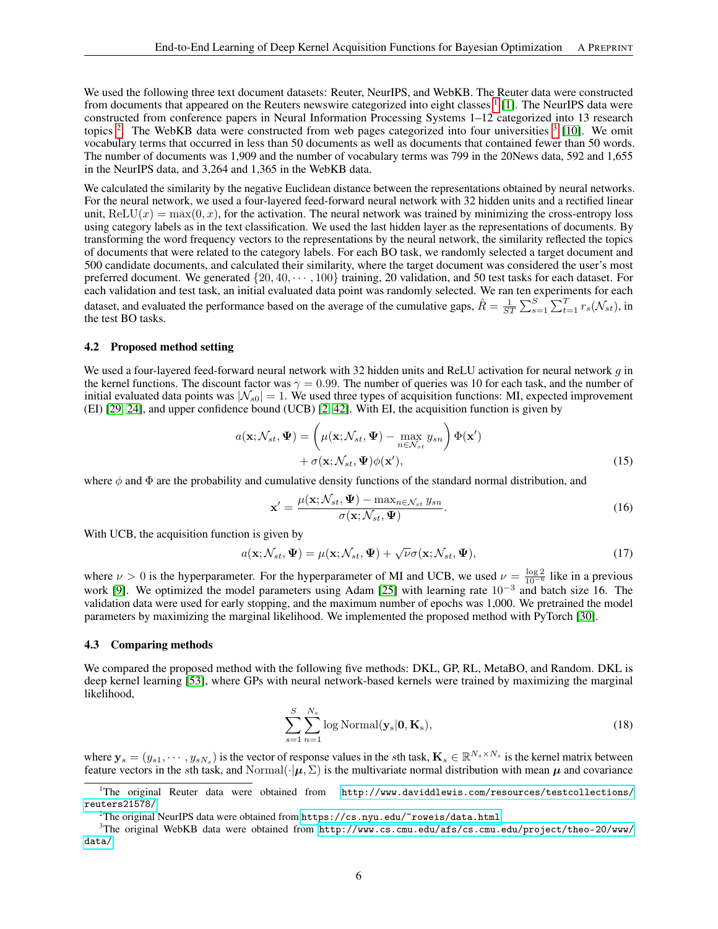We used the following three text document datasets: Reuter, NeurIPS, and WebKB. The Reuter data were constructed from documents that appeared on the Reuters newswire categorized into eight classes <sup>[1](#page-5-0)</sup> [\[1\]](#page-8-16). The NeurIPS data were constructed from conference papers in Neural Information Processing Systems 1–12 categorized into 13 research topics  $2$ . The WebKB data were constructed from web pages categorized into four universities  $3$  [\[10\]](#page-8-17). We omit vocabulary terms that occurred in less than 50 documents as well as documents that contained fewer than 50 words. The number of documents was 1,909 and the number of vocabulary terms was 799 in the 20News data, 592 and 1,655 in the NeurIPS data, and 3,264 and 1,365 in the WebKB data.

We calculated the similarity by the negative Euclidean distance between the representations obtained by neural networks. For the neural network, we used a four-layered feed-forward neural network with 32 hidden units and a rectified linear unit,  $ReLU(x) = max(0, x)$ , for the activation. The neural network was trained by minimizing the cross-entropy loss using category labels as in the text classification. We used the last hidden layer as the representations of documents. By transforming the word frequency vectors to the representations by the neural network, the similarity reflected the topics of documents that were related to the category labels. For each BO task, we randomly selected a target document and 500 candidate documents, and calculated their similarity, where the target document was considered the user's most preferred document. We generated  $\{20, 40, \dots, 100\}$  training, 20 validation, and 50 test tasks for each dataset. For each validation and test task, an initial evaluated data point was randomly selected. We ran ten experiments for each dataset, and evaluated the performance based on the average of the cumulative gaps,  $\hat{R} = \frac{1}{ST} \sum_{s=1}^{S} \sum_{t=1}^{T} r_s(\mathcal{N}_{st})$ , in the test BO tasks.

### 4.2 Proposed method setting

We used a four-layered feed-forward neural network with 32 hidden units and ReLU activation for neural network  $q$  in the kernel functions. The discount factor was  $\gamma = 0.99$ . The number of queries was 10 for each task, and the number of initial evaluated data points was  $|\mathcal{N}_{s0}| = 1$ . We used three types of acquisition functions: MI, expected improvement (EI) [\[29,](#page-9-13) [24\]](#page-9-14), and upper confidence bound (UCB) [\[2,](#page-8-9) [42\]](#page-9-15). With EI, the acquisition function is given by

$$
a(\mathbf{x}; \mathcal{N}_{st}, \Psi) = \left(\mu(\mathbf{x}; \mathcal{N}_{st}, \Psi) - \max_{n \in \mathcal{N}_{st}} y_{sn}\right) \Phi(\mathbf{x}')
$$
  
+  $\sigma(\mathbf{x}; \mathcal{N}_{st}, \Psi) \phi(\mathbf{x}'),$  (15)

where  $\phi$  and  $\Phi$  are the probability and cumulative density functions of the standard normal distribution, and

$$
\mathbf{x}' = \frac{\mu(\mathbf{x}; \mathcal{N}_{st}, \mathbf{\Psi}) - \max_{n \in \mathcal{N}_{st}} y_{sn}}{\sigma(\mathbf{x}; \mathcal{N}_{st}, \mathbf{\Psi})}.
$$
(16)

With UCB, the acquisition function is given by

$$
a(\mathbf{x}; \mathcal{N}_{st}, \Psi) = \mu(\mathbf{x}; \mathcal{N}_{st}, \Psi) + \sqrt{\nu} \sigma(\mathbf{x}; \mathcal{N}_{st}, \Psi),
$$
\n(17)

where  $\nu > 0$  is the hyperparameter. For the hyperparameter of MI and UCB, we used  $\nu = \frac{\log 2}{10^{-6}}$  like in a previous work [\[9\]](#page-8-8). We optimized the model parameters using Adam [\[25\]](#page-9-22) with learning rate 10<sup>-3</sup> and batch size 16. The validation data were used for early stopping, and the maximum number of epochs was 1,000. We pretrained the model parameters by maximizing the marginal likelihood. We implemented the proposed method with PyTorch [\[30\]](#page-9-23).

## 4.3 Comparing methods

We compared the proposed method with the following five methods: DKL, GP, RL, MetaBO, and Random. DKL is deep kernel learning [\[53\]](#page-10-3), where GPs with neural network-based kernels were trained by maximizing the marginal likelihood,

<span id="page-5-3"></span>
$$
\sum_{s=1}^{S} \sum_{n=1}^{N_s} \log \text{Normal}(\mathbf{y}_s | \mathbf{0}, \mathbf{K}_s),
$$
\n(18)

where  $y_s = (y_{s1}, \dots, y_{sN_s})$  is the vector of response values in the sth task,  $\mathbf{K}_s \in \mathbb{R}^{N_s \times N_s}$  is the kernel matrix between feature vectors in the sth task, and Normal( $\cdot | \mu, \Sigma$ ) is the multivariate normal distribution with mean  $\mu$  and covariance

<span id="page-5-0"></span> $1$ The original Reuter data were obtained from [http://www.daviddlewis.com/resources/testcollections/](http://www.daviddlewis.com/resources/testcollections/reuters21578/) [reuters21578/](http://www.daviddlewis.com/resources/testcollections/reuters21578/).

<span id="page-5-2"></span><span id="page-5-1"></span><sup>&</sup>lt;sup>2</sup>The original NeurIPS data were obtained from  $https://cs.nyu.edu/~rowsidata.html$ .

<sup>&</sup>lt;sup>3</sup>The original WebKB data were obtained from [http://www.cs.cmu.edu/afs/cs.cmu.edu/project/theo-20/www/](http://www.cs.cmu.edu/afs/cs.cmu.edu/project/theo-20/www/data/) [data/](http://www.cs.cmu.edu/afs/cs.cmu.edu/project/theo-20/www/data/).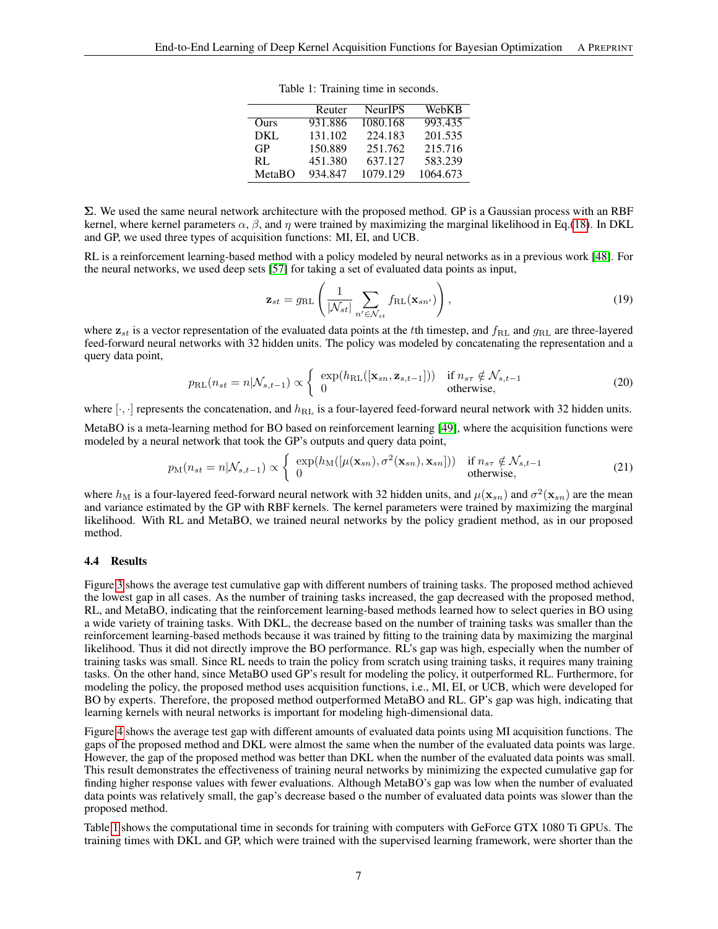|        | Reuter  | <b>NeurIPS</b> | WebKB    |
|--------|---------|----------------|----------|
| Ours   | 931.886 | 1080.168       | 993.435  |
| DKL.   | 131.102 | 224.183        | 201.535  |
| GP     | 150.889 | 251.762        | 215.716  |
| RL     | 451.380 | 637.127        | 583.239  |
| MetaBO | 934.847 | 1079.129       | 1064.673 |

Table 1: Training time in seconds.

<span id="page-6-0"></span>Σ. We used the same neural network architecture with the proposed method. GP is a Gaussian process with an RBF kernel, where kernel parameters  $\alpha$ ,  $\beta$ , and  $\eta$  were trained by maximizing the marginal likelihood in Eq.[\(18\)](#page-5-3). In DKL and GP, we used three types of acquisition functions: MI, EI, and UCB.

RL is a reinforcement learning-based method with a policy modeled by neural networks as in a previous work [\[48\]](#page-10-10). For the neural networks, we used deep sets [\[57\]](#page-10-13) for taking a set of evaluated data points as input,

$$
\mathbf{z}_{st} = g_{\mathrm{RL}} \left( \frac{1}{|\mathcal{N}_{st}|} \sum_{n' \in \mathcal{N}_{st}} f_{\mathrm{RL}}(\mathbf{x}_{sn'}) \right), \tag{19}
$$

where  $z_{st}$  is a vector representation of the evaluated data points at the the timestep, and  $f_{RL}$  and  $g_{RL}$  are three-layered feed-forward neural networks with 32 hidden units. The policy was modeled by concatenating the representation and a query data point,

$$
p_{\text{RL}}(n_{st} = n | \mathcal{N}_{s,t-1}) \propto \begin{cases} \exp(h_{\text{RL}}([\mathbf{x}_{sn}, \mathbf{z}_{s,t-1}])) & \text{if } n_{s\tau} \notin \mathcal{N}_{s,t-1} \\ 0 & \text{otherwise,} \end{cases}
$$
(20)

where  $[\cdot, \cdot]$  represents the concatenation, and  $h_{\text{RL}}$  is a four-layered feed-forward neural network with 32 hidden units.

MetaBO is a meta-learning method for BO based on reinforcement learning [\[49\]](#page-10-9), where the acquisition functions were modeled by a neural network that took the GP's outputs and query data point,

$$
p_M(n_{st} = n | \mathcal{N}_{s,t-1}) \propto \begin{cases} \exp(h_M([\mu(\mathbf{x}_{sn}), \sigma^2(\mathbf{x}_{sn}), \mathbf{x}_{sn}])) & \text{if } n_{sr} \notin \mathcal{N}_{s,t-1} \\ 0 & \text{otherwise,} \end{cases}
$$
(21)

where  $h_M$  is a four-layered feed-forward neural network with 32 hidden units, and  $\mu(\mathbf{x}_{sn})$  and  $\sigma^2(\mathbf{x}_{sn})$  are the mean and variance estimated by the GP with RBF kernels. The kernel parameters were trained by maximizing the marginal likelihood. With RL and MetaBO, we trained neural networks by the policy gradient method, as in our proposed method.

#### 4.4 Results

Figure [3](#page-7-0) shows the average test cumulative gap with different numbers of training tasks. The proposed method achieved the lowest gap in all cases. As the number of training tasks increased, the gap decreased with the proposed method, RL, and MetaBO, indicating that the reinforcement learning-based methods learned how to select queries in BO using a wide variety of training tasks. With DKL, the decrease based on the number of training tasks was smaller than the reinforcement learning-based methods because it was trained by fitting to the training data by maximizing the marginal likelihood. Thus it did not directly improve the BO performance. RL's gap was high, especially when the number of training tasks was small. Since RL needs to train the policy from scratch using training tasks, it requires many training tasks. On the other hand, since MetaBO used GP's result for modeling the policy, it outperformed RL. Furthermore, for modeling the policy, the proposed method uses acquisition functions, i.e., MI, EI, or UCB, which were developed for BO by experts. Therefore, the proposed method outperformed MetaBO and RL. GP's gap was high, indicating that learning kernels with neural networks is important for modeling high-dimensional data.

Figure [4](#page-7-1) shows the average test gap with different amounts of evaluated data points using MI acquisition functions. The gaps of the proposed method and DKL were almost the same when the number of the evaluated data points was large. However, the gap of the proposed method was better than DKL when the number of the evaluated data points was small. This result demonstrates the effectiveness of training neural networks by minimizing the expected cumulative gap for finding higher response values with fewer evaluations. Although MetaBO's gap was low when the number of evaluated data points was relatively small, the gap's decrease based o the number of evaluated data points was slower than the proposed method.

Table [1](#page-6-0) shows the computational time in seconds for training with computers with GeForce GTX 1080 Ti GPUs. The training times with DKL and GP, which were trained with the supervised learning framework, were shorter than the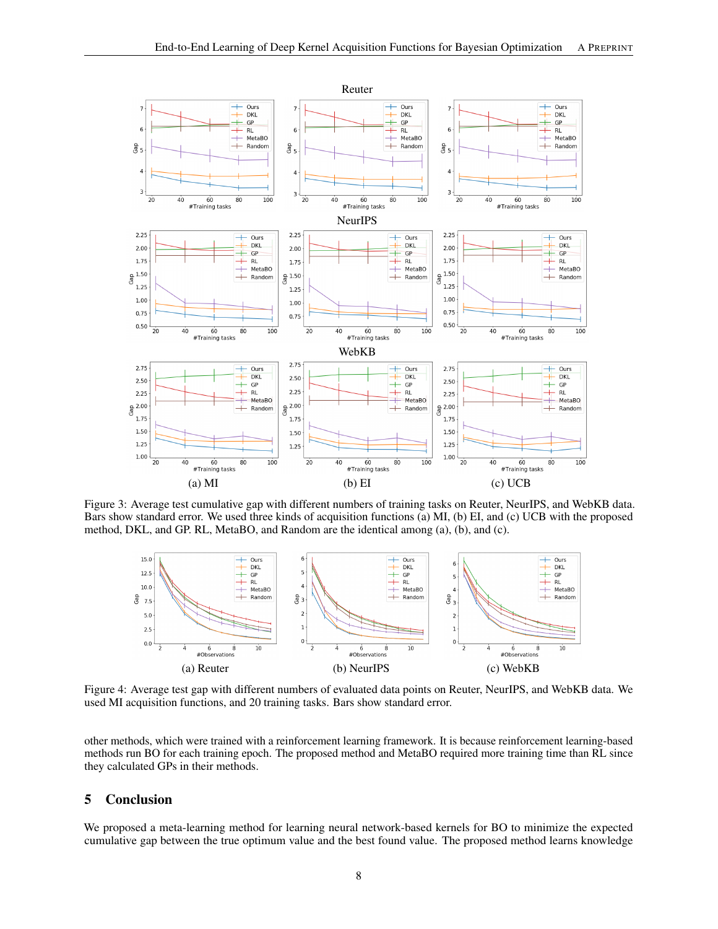<span id="page-7-0"></span>

Figure 3: Average test cumulative gap with different numbers of training tasks on Reuter, NeurIPS, and WebKB data. Bars show standard error. We used three kinds of acquisition functions (a) MI, (b) EI, and (c) UCB with the proposed method, DKL, and GP. RL, MetaBO, and Random are the identical among (a), (b), and (c).

<span id="page-7-1"></span>![](_page_7_Figure_3.jpeg)

Figure 4: Average test gap with different numbers of evaluated data points on Reuter, NeurIPS, and WebKB data. We used MI acquisition functions, and 20 training tasks. Bars show standard error.

other methods, which were trained with a reinforcement learning framework. It is because reinforcement learning-based methods run BO for each training epoch. The proposed method and MetaBO required more training time than RL since they calculated GPs in their methods.

# 5 Conclusion

We proposed a meta-learning method for learning neural network-based kernels for BO to minimize the expected cumulative gap between the true optimum value and the best found value. The proposed method learns knowledge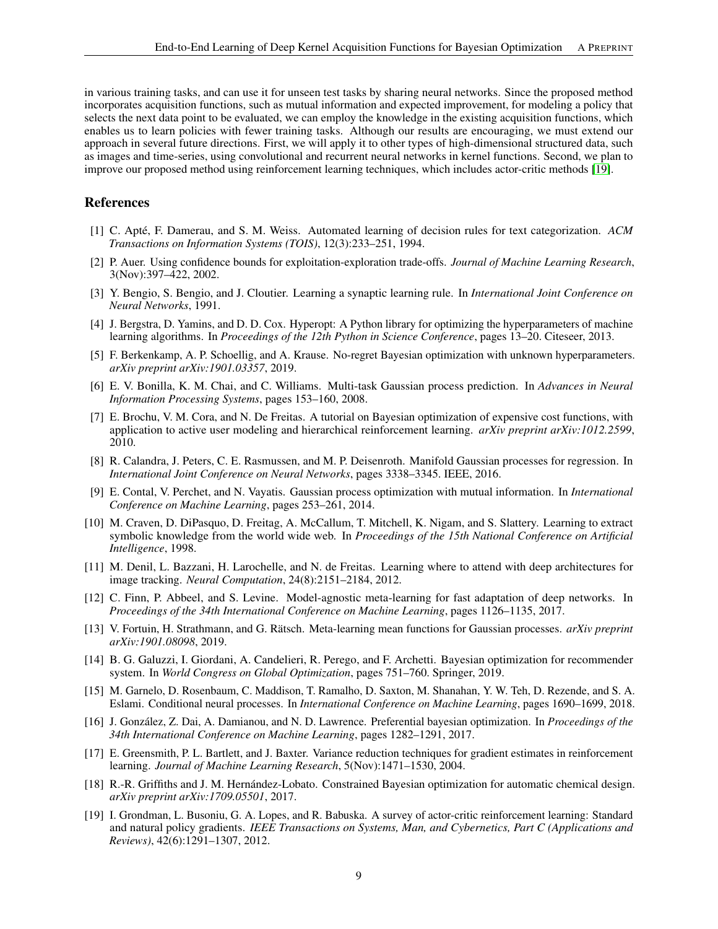in various training tasks, and can use it for unseen test tasks by sharing neural networks. Since the proposed method incorporates acquisition functions, such as mutual information and expected improvement, for modeling a policy that selects the next data point to be evaluated, we can employ the knowledge in the existing acquisition functions, which enables us to learn policies with fewer training tasks. Although our results are encouraging, we must extend our approach in several future directions. First, we will apply it to other types of high-dimensional structured data, such as images and time-series, using convolutional and recurrent neural networks in kernel functions. Second, we plan to improve our proposed method using reinforcement learning techniques, which includes actor-critic methods [\[19\]](#page-8-18).

# **References**

- <span id="page-8-16"></span>[1] C. Apté, F. Damerau, and S. M. Weiss. Automated learning of decision rules for text categorization. *ACM Transactions on Information Systems (TOIS)*, 12(3):233–251, 1994.
- <span id="page-8-9"></span>[2] P. Auer. Using confidence bounds for exploitation-exploration trade-offs. *Journal of Machine Learning Research*, 3(Nov):397–422, 2002.
- <span id="page-8-12"></span>[3] Y. Bengio, S. Bengio, and J. Cloutier. Learning a synaptic learning rule. In *International Joint Conference on Neural Networks*, 1991.
- <span id="page-8-5"></span>[4] J. Bergstra, D. Yamins, and D. D. Cox. Hyperopt: A Python library for optimizing the hyperparameters of machine learning algorithms. In *Proceedings of the 12th Python in Science Conference*, pages 13–20. Citeseer, 2013.
- <span id="page-8-10"></span>[5] F. Berkenkamp, A. P. Schoellig, and A. Krause. No-regret Bayesian optimization with unknown hyperparameters. *arXiv preprint arXiv:1901.03357*, 2019.
- <span id="page-8-7"></span>[6] E. V. Bonilla, K. M. Chai, and C. Williams. Multi-task Gaussian process prediction. In *Advances in Neural Information Processing Systems*, pages 153–160, 2008.
- <span id="page-8-0"></span>[7] E. Brochu, V. M. Cora, and N. De Freitas. A tutorial on Bayesian optimization of expensive cost functions, with application to active user modeling and hierarchical reinforcement learning. *arXiv preprint arXiv:1012.2599*, 2010.
- <span id="page-8-6"></span>[8] R. Calandra, J. Peters, C. E. Rasmussen, and M. P. Deisenroth. Manifold Gaussian processes for regression. In *International Joint Conference on Neural Networks*, pages 3338–3345. IEEE, 2016.
- <span id="page-8-8"></span>[9] E. Contal, V. Perchet, and N. Vayatis. Gaussian process optimization with mutual information. In *International Conference on Machine Learning*, pages 253–261, 2014.
- <span id="page-8-17"></span>[10] M. Craven, D. DiPasquo, D. Freitag, A. McCallum, T. Mitchell, K. Nigam, and S. Slattery. Learning to extract symbolic knowledge from the world wide web. In *Proceedings of the 15th National Conference on Artificial Intelligence*, 1998.
- <span id="page-8-1"></span>[11] M. Denil, L. Bazzani, H. Larochelle, and N. de Freitas. Learning where to attend with deep architectures for image tracking. *Neural Computation*, 24(8):2151–2184, 2012.
- <span id="page-8-11"></span>[12] C. Finn, P. Abbeel, and S. Levine. Model-agnostic meta-learning for fast adaptation of deep networks. In *Proceedings of the 34th International Conference on Machine Learning*, pages 1126–1135, 2017.
- <span id="page-8-14"></span>[13] V. Fortuin, H. Strathmann, and G. Rätsch. Meta-learning mean functions for Gaussian processes. *arXiv preprint arXiv:1901.08098*, 2019.
- <span id="page-8-3"></span>[14] B. G. Galuzzi, I. Giordani, A. Candelieri, R. Perego, and F. Archetti. Bayesian optimization for recommender system. In *World Congress on Global Optimization*, pages 751–760. Springer, 2019.
- <span id="page-8-13"></span>[15] M. Garnelo, D. Rosenbaum, C. Maddison, T. Ramalho, D. Saxton, M. Shanahan, Y. W. Teh, D. Rezende, and S. A. Eslami. Conditional neural processes. In *International Conference on Machine Learning*, pages 1690–1699, 2018.
- <span id="page-8-2"></span>[16] J. González, Z. Dai, A. Damianou, and N. D. Lawrence. Preferential bayesian optimization. In *Proceedings of the 34th International Conference on Machine Learning*, pages 1282–1291, 2017.
- <span id="page-8-15"></span>[17] E. Greensmith, P. L. Bartlett, and J. Baxter. Variance reduction techniques for gradient estimates in reinforcement learning. *Journal of Machine Learning Research*, 5(Nov):1471–1530, 2004.
- <span id="page-8-4"></span>[18] R.-R. Griffiths and J. M. Hernández-Lobato. Constrained Bayesian optimization for automatic chemical design. *arXiv preprint arXiv:1709.05501*, 2017.
- <span id="page-8-18"></span>[19] I. Grondman, L. Busoniu, G. A. Lopes, and R. Babuska. A survey of actor-critic reinforcement learning: Standard and natural policy gradients. *IEEE Transactions on Systems, Man, and Cybernetics, Part C (Applications and Reviews)*, 42(6):1291–1307, 2012.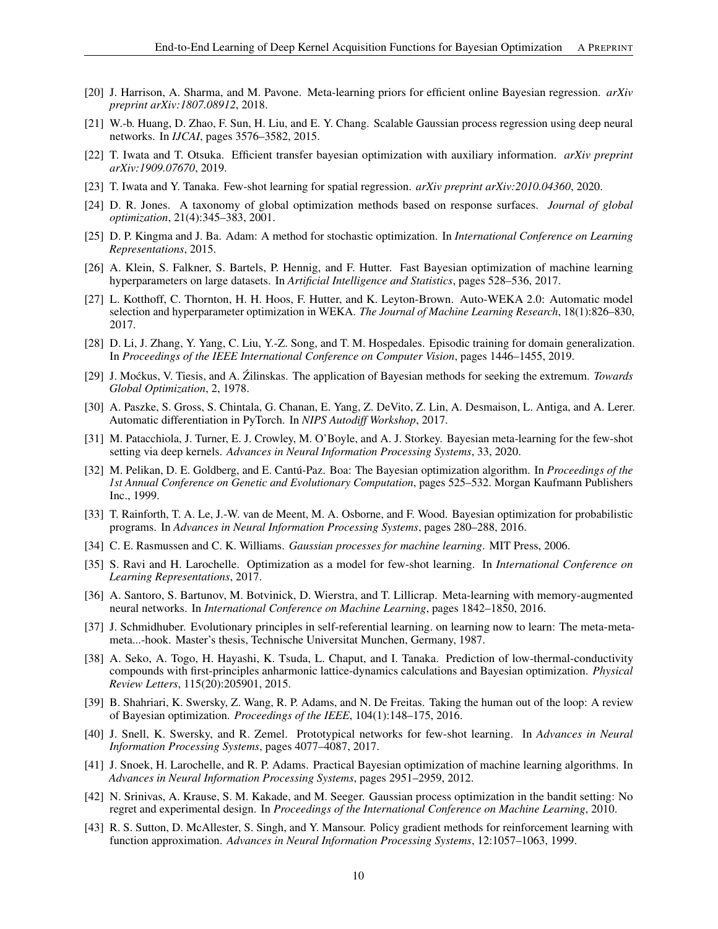- <span id="page-9-10"></span>[20] J. Harrison, A. Sharma, and M. Pavone. Meta-learning priors for efficient online Bayesian regression. *arXiv preprint arXiv:1807.08912*, 2018.
- <span id="page-9-8"></span>[21] W.-b. Huang, D. Zhao, F. Sun, H. Liu, and E. Y. Chang. Scalable Gaussian process regression using deep neural networks. In *IJCAI*, pages 3576–3582, 2015.
- <span id="page-9-9"></span>[22] T. Iwata and T. Otsuka. Efficient transfer bayesian optimization with auxiliary information. *arXiv preprint arXiv:1909.07670*, 2019.
- <span id="page-9-11"></span>[23] T. Iwata and Y. Tanaka. Few-shot learning for spatial regression. *arXiv preprint arXiv:2010.04360*, 2020.
- <span id="page-9-14"></span>[24] D. R. Jones. A taxonomy of global optimization methods based on response surfaces. *Journal of global optimization*, 21(4):345–383, 2001.
- <span id="page-9-22"></span>[25] D. P. Kingma and J. Ba. Adam: A method for stochastic optimization. In *International Conference on Learning Representations*, 2015.
- <span id="page-9-6"></span>[26] A. Klein, S. Falkner, S. Bartels, P. Hennig, and F. Hutter. Fast Bayesian optimization of machine learning hyperparameters on large datasets. In *Artificial Intelligence and Statistics*, pages 528–536, 2017.
- <span id="page-9-5"></span>[27] L. Kotthoff, C. Thornton, H. H. Hoos, F. Hutter, and K. Leyton-Brown. Auto-WEKA 2.0: Automatic model selection and hyperparameter optimization in WEKA. *The Journal of Machine Learning Research*, 18(1):826–830, 2017.
- <span id="page-9-20"></span>[28] D. Li, J. Zhang, Y. Yang, C. Liu, Y.-Z. Song, and T. M. Hospedales. Episodic training for domain generalization. In *Proceedings of the IEEE International Conference on Computer Vision*, pages 1446–1455, 2019.
- <span id="page-9-13"></span>[29] J. Moćkus, V. Tiesis, and A. Źilinskas. The application of Bayesian methods for seeking the extremum. *Towards Global Optimization*, 2, 1978.
- <span id="page-9-23"></span>[30] A. Paszke, S. Gross, S. Chintala, G. Chanan, E. Yang, Z. DeVito, Z. Lin, A. Desmaison, L. Antiga, and A. Lerer. Automatic differentiation in PyTorch. In *NIPS Autodiff Workshop*, 2017.
- <span id="page-9-12"></span>[31] M. Patacchiola, J. Turner, E. J. Crowley, M. O'Boyle, and A. J. Storkey. Bayesian meta-learning for the few-shot setting via deep kernels. *Advances in Neural Information Processing Systems*, 33, 2020.
- <span id="page-9-0"></span>[32] M. Pelikan, D. E. Goldberg, and E. Cantú-Paz. Boa: The Bayesian optimization algorithm. In *Proceedings of the 1st Annual Conference on Genetic and Evolutionary Computation*, pages 525–532. Morgan Kaufmann Publishers Inc., 1999.
- <span id="page-9-3"></span>[33] T. Rainforth, T. A. Le, J.-W. van de Meent, M. A. Osborne, and F. Wood. Bayesian optimization for probabilistic programs. In *Advances in Neural Information Processing Systems*, pages 280–288, 2016.
- <span id="page-9-7"></span>[34] C. E. Rasmussen and C. K. Williams. *Gaussian processes for machine learning*. MIT Press, 2006.
- <span id="page-9-17"></span>[35] S. Ravi and H. Larochelle. Optimization as a model for few-shot learning. In *International Conference on Learning Representations*, 2017.
- <span id="page-9-18"></span>[36] A. Santoro, S. Bartunov, M. Botvinick, D. Wierstra, and T. Lillicrap. Meta-learning with memory-augmented neural networks. In *International Conference on Machine Learning*, pages 1842–1850, 2016.
- <span id="page-9-21"></span>[37] J. Schmidhuber. Evolutionary principles in self-referential learning. on learning now to learn: The meta-metameta...-hook. Master's thesis, Technische Universitat Munchen, Germany, 1987.
- <span id="page-9-2"></span>[38] A. Seko, A. Togo, H. Hayashi, K. Tsuda, L. Chaput, and I. Tanaka. Prediction of low-thermal-conductivity compounds with first-principles anharmonic lattice-dynamics calculations and Bayesian optimization. *Physical Review Letters*, 115(20):205901, 2015.
- <span id="page-9-1"></span>[39] B. Shahriari, K. Swersky, Z. Wang, R. P. Adams, and N. De Freitas. Taking the human out of the loop: A review of Bayesian optimization. *Proceedings of the IEEE*, 104(1):148–175, 2016.
- <span id="page-9-19"></span>[40] J. Snell, K. Swersky, and R. Zemel. Prototypical networks for few-shot learning. In *Advances in Neural Information Processing Systems*, pages 4077–4087, 2017.
- <span id="page-9-4"></span>[41] J. Snoek, H. Larochelle, and R. P. Adams. Practical Bayesian optimization of machine learning algorithms. In *Advances in Neural Information Processing Systems*, pages 2951–2959, 2012.
- <span id="page-9-15"></span>[42] N. Srinivas, A. Krause, S. M. Kakade, and M. Seeger. Gaussian process optimization in the bandit setting: No regret and experimental design. In *Proceedings of the International Conference on Machine Learning*, 2010.
- <span id="page-9-16"></span>[43] R. S. Sutton, D. McAllester, S. Singh, and Y. Mansour. Policy gradient methods for reinforcement learning with function approximation. *Advances in Neural Information Processing Systems*, 12:1057–1063, 1999.